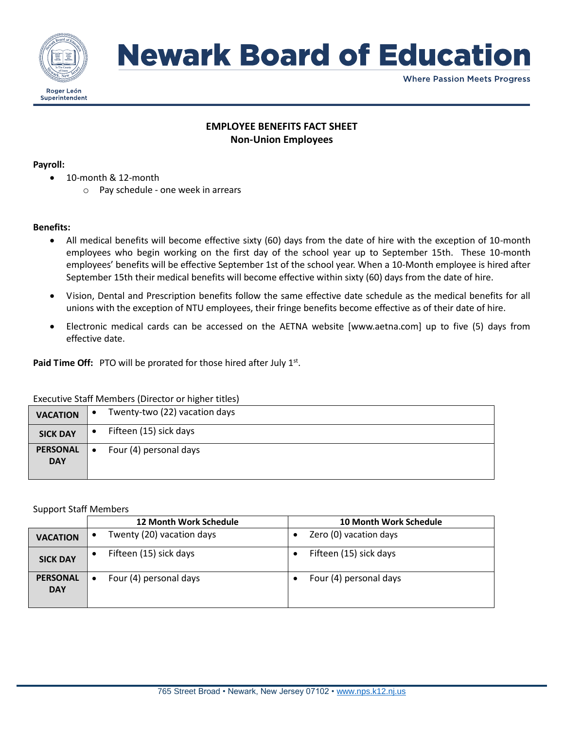

## **Newark Board of Education**

**Where Passion Meets Progress** 

## **EMPLOYEE BENEFITS FACT SHEET Non-Union Employees**

#### **Payroll:**

- 10-month & 12-month
	- o Pay schedule one week in arrears

### **Benefits:**

- All medical benefits will become effective sixty (60) days from the date of hire with the exception of 10-month employees who begin working on the first day of the school year up to September 15th. These 10-month employees' benefits will be effective September 1st of the school year. When a 10-Month employee is hired after September 15th their medical benefits will become effective within sixty (60) days from the date of hire.
- Vision, Dental and Prescription benefits follow the same effective date schedule as the medical benefits for all unions with the exception of NTU employees, their fringe benefits become effective as of their date of hire.
- Electronic medical cards can be accessed on the AETNA website [www.aetna.com] up to five (5) days from effective date.

Paid Time Off: PTO will be prorated for those hired after July 1<sup>st</sup>.

### Executive Staff Members (Director or higher titles)

| <b>VACATION</b> | $\bullet$ | Twenty-two (22) vacation days |
|-----------------|-----------|-------------------------------|
| <b>SICK DAY</b> |           | Fifteen (15) sick days        |
| <b>PERSONAL</b> | $\bullet$ | Four (4) personal days        |
| <b>DAY</b>      |           |                               |
|                 |           |                               |

### Support Staff Members

|                               | <b>12 Month Work Schedule</b>          | <b>10 Month Work Schedule</b> |
|-------------------------------|----------------------------------------|-------------------------------|
| <b>VACATION</b>               | Twenty (20) vacation days<br>$\bullet$ | Zero (0) vacation days        |
| <b>SICK DAY</b>               | Fifteen (15) sick days                 | Fifteen (15) sick days        |
| <b>PERSONAL</b><br><b>DAY</b> | Four (4) personal days<br>٠            | Four (4) personal days        |